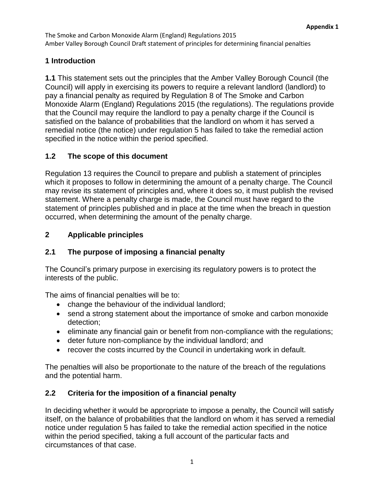The Smoke and Carbon Monoxide Alarm (England) Regulations 2015 Amber Valley Borough Council Draft statement of principles for determining financial penalties

### **1 Introduction**

**1.1** This statement sets out the principles that the Amber Valley Borough Council (the Council) will apply in exercising its powers to require a relevant landlord (landlord) to pay a financial penalty as required by Regulation 8 of The Smoke and Carbon Monoxide Alarm (England) Regulations 2015 (the regulations). The regulations provide that the Council may require the landlord to pay a penalty charge if the Council is satisfied on the balance of probabilities that the landlord on whom it has served a remedial notice (the notice) under regulation 5 has failed to take the remedial action specified in the notice within the period specified.

### **1.2 The scope of this document**

Regulation 13 requires the Council to prepare and publish a statement of principles which it proposes to follow in determining the amount of a penalty charge. The Council may revise its statement of principles and, where it does so, it must publish the revised statement. Where a penalty charge is made, the Council must have regard to the statement of principles published and in place at the time when the breach in question occurred, when determining the amount of the penalty charge.

## **2 Applicable principles**

## **2.1 The purpose of imposing a financial penalty**

The Council's primary purpose in exercising its regulatory powers is to protect the interests of the public.

The aims of financial penalties will be to:

- change the behaviour of the individual landlord:
- send a strong statement about the importance of smoke and carbon monoxide detection;
- eliminate any financial gain or benefit from non-compliance with the regulations;
- deter future non-compliance by the individual landlord; and
- recover the costs incurred by the Council in undertaking work in default.

The penalties will also be proportionate to the nature of the breach of the regulations and the potential harm.

## **2.2 Criteria for the imposition of a financial penalty**

In deciding whether it would be appropriate to impose a penalty, the Council will satisfy itself, on the balance of probabilities that the landlord on whom it has served a remedial notice under regulation 5 has failed to take the remedial action specified in the notice within the period specified, taking a full account of the particular facts and circumstances of that case.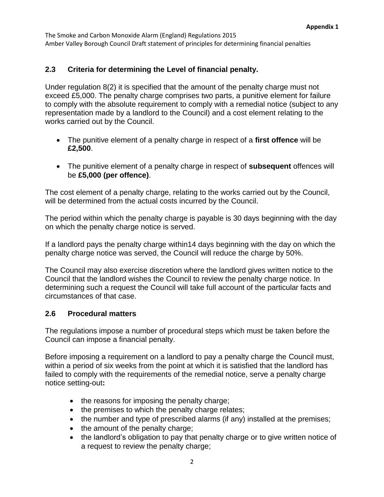The Smoke and Carbon Monoxide Alarm (England) Regulations 2015 Amber Valley Borough Council Draft statement of principles for determining financial penalties

#### **2.3 Criteria for determining the Level of financial penalty.**

Under regulation 8(2) it is specified that the amount of the penalty charge must not exceed £5,000. The penalty charge comprises two parts, a punitive element for failure to comply with the absolute requirement to comply with a remedial notice (subject to any representation made by a landlord to the Council) and a cost element relating to the works carried out by the Council.

- The punitive element of a penalty charge in respect of a **first offence** will be **£2,500**.
- The punitive element of a penalty charge in respect of **subsequent** offences will be **£5,000 (per offence)**.

The cost element of a penalty charge, relating to the works carried out by the Council, will be determined from the actual costs incurred by the Council.

The period within which the penalty charge is payable is 30 days beginning with the day on which the penalty charge notice is served.

If a landlord pays the penalty charge within14 days beginning with the day on which the penalty charge notice was served, the Council will reduce the charge by 50%.

The Council may also exercise discretion where the landlord gives written notice to the Council that the landlord wishes the Council to review the penalty charge notice. In determining such a request the Council will take full account of the particular facts and circumstances of that case.

#### **2.6 Procedural matters**

The regulations impose a number of procedural steps which must be taken before the Council can impose a financial penalty.

Before imposing a requirement on a landlord to pay a penalty charge the Council must, within a period of six weeks from the point at which it is satisfied that the landlord has failed to comply with the requirements of the remedial notice, serve a penalty charge notice setting-out**:**

- the reasons for imposing the penalty charge;
- the premises to which the penalty charge relates;
- the number and type of prescribed alarms (if any) installed at the premises;
- the amount of the penalty charge;
- the landlord's obligation to pay that penalty charge or to give written notice of a request to review the penalty charge;